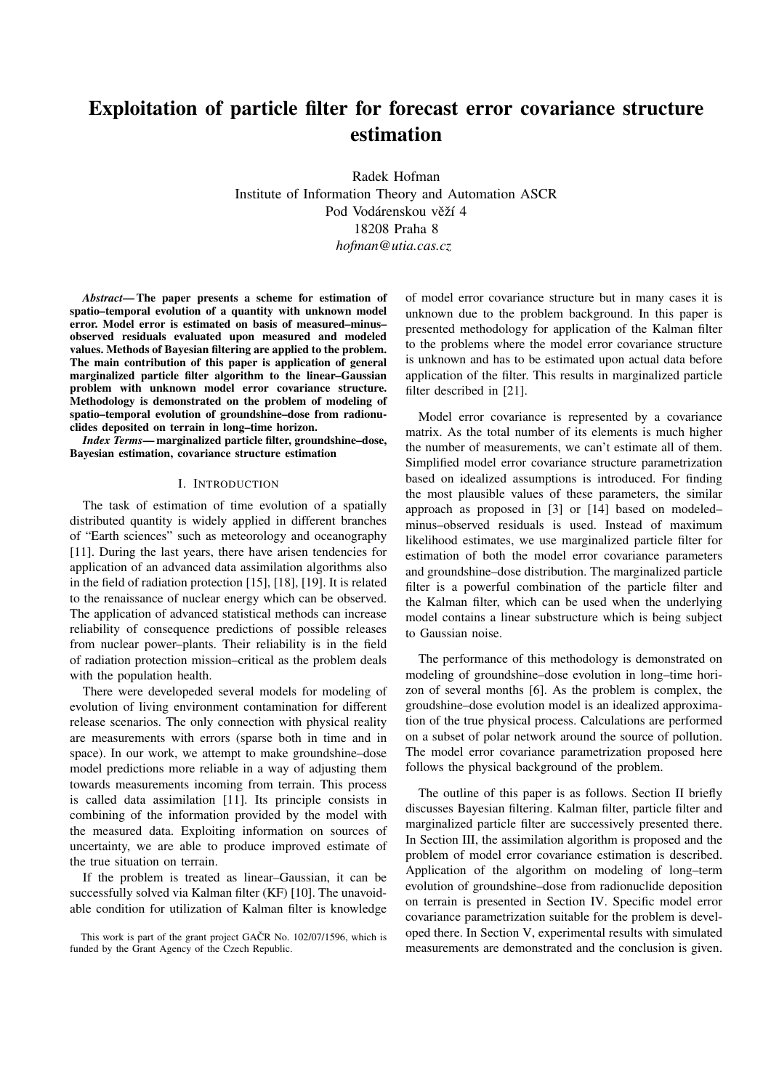# Exploitation of particle filter for forecast error covariance structure estimation

Radek Hofman Institute of Information Theory and Automation ASCR Pod Vodárenskou věží 4 18208 Praha 8 *hofman@utia.cas.cz*

*Abstract*— The paper presents a scheme for estimation of spatio–temporal evolution of a quantity with unknown model error. Model error is estimated on basis of measured–minus– observed residuals evaluated upon measured and modeled values. Methods of Bayesian filtering are applied to the problem. The main contribution of this paper is application of general marginalized particle filter algorithm to the linear–Gaussian problem with unknown model error covariance structure. Methodology is demonstrated on the problem of modeling of spatio–temporal evolution of groundshine–dose from radionuclides deposited on terrain in long–time horizon.

*Index Terms*— marginalized particle filter, groundshine–dose, Bayesian estimation, covariance structure estimation

## I. INTRODUCTION

The task of estimation of time evolution of a spatially distributed quantity is widely applied in different branches of "Earth sciences" such as meteorology and oceanography [11]. During the last years, there have arisen tendencies for application of an advanced data assimilation algorithms also in the field of radiation protection [15], [18], [19]. It is related to the renaissance of nuclear energy which can be observed. The application of advanced statistical methods can increase reliability of consequence predictions of possible releases from nuclear power–plants. Their reliability is in the field of radiation protection mission–critical as the problem deals with the population health.

There were developeded several models for modeling of evolution of living environment contamination for different release scenarios. The only connection with physical reality are measurements with errors (sparse both in time and in space). In our work, we attempt to make groundshine–dose model predictions more reliable in a way of adjusting them towards measurements incoming from terrain. This process is called data assimilation [11]. Its principle consists in combining of the information provided by the model with the measured data. Exploiting information on sources of uncertainty, we are able to produce improved estimate of the true situation on terrain.

If the problem is treated as linear–Gaussian, it can be successfully solved via Kalman filter (KF) [10]. The unavoidable condition for utilization of Kalman filter is knowledge

of model error covariance structure but in many cases it is unknown due to the problem background. In this paper is presented methodology for application of the Kalman filter to the problems where the model error covariance structure is unknown and has to be estimated upon actual data before application of the filter. This results in marginalized particle filter described in [21].

Model error covariance is represented by a covariance matrix. As the total number of its elements is much higher the number of measurements, we can't estimate all of them. Simplified model error covariance structure parametrization based on idealized assumptions is introduced. For finding the most plausible values of these parameters, the similar approach as proposed in [3] or [14] based on modeled– minus–observed residuals is used. Instead of maximum likelihood estimates, we use marginalized particle filter for estimation of both the model error covariance parameters and groundshine–dose distribution. The marginalized particle filter is a powerful combination of the particle filter and the Kalman filter, which can be used when the underlying model contains a linear substructure which is being subject to Gaussian noise.

The performance of this methodology is demonstrated on modeling of groundshine–dose evolution in long–time horizon of several months [6]. As the problem is complex, the groudshine–dose evolution model is an idealized approximation of the true physical process. Calculations are performed on a subset of polar network around the source of pollution. The model error covariance parametrization proposed here follows the physical background of the problem.

The outline of this paper is as follows. Section II briefly discusses Bayesian filtering. Kalman filter, particle filter and marginalized particle filter are successively presented there. In Section III, the assimilation algorithm is proposed and the problem of model error covariance estimation is described. Application of the algorithm on modeling of long–term evolution of groundshine–dose from radionuclide deposition on terrain is presented in Section IV. Specific model error covariance parametrization suitable for the problem is developed there. In Section V, experimental results with simulated measurements are demonstrated and the conclusion is given.

This work is part of the grant project GAČR No. 102/07/1596, which is funded by the Grant Agency of the Czech Republic.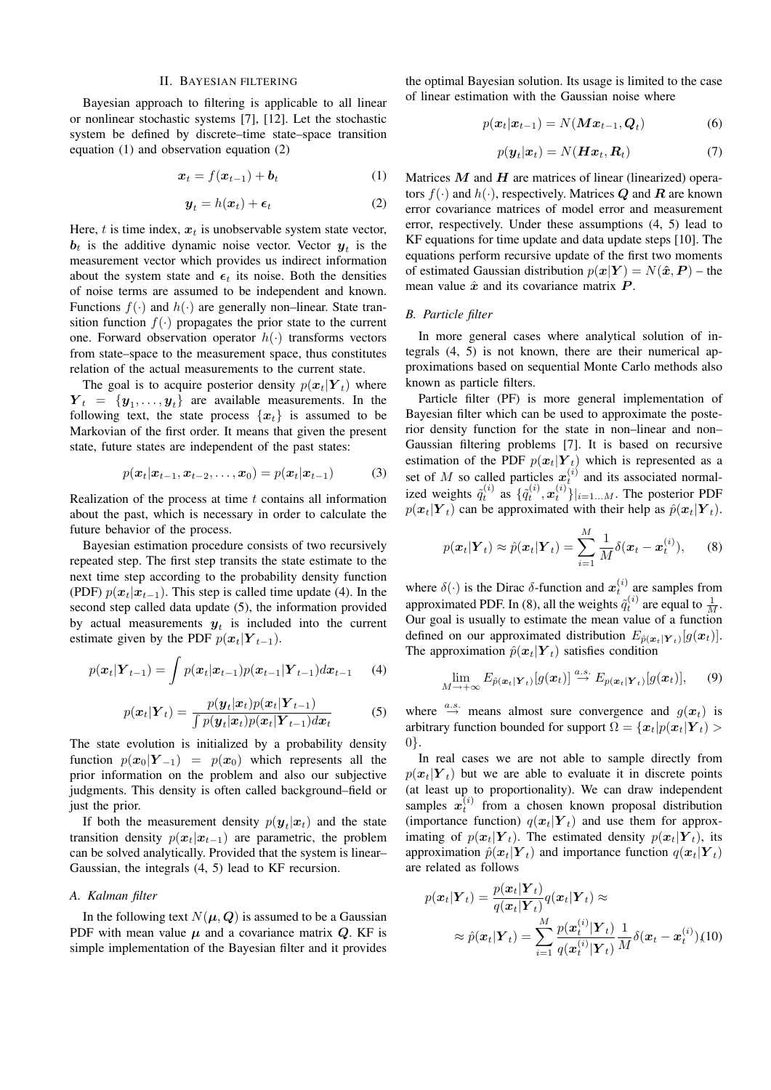#### II. BAYESIAN FILTERING

Bayesian approach to filtering is applicable to all linear or nonlinear stochastic systems [7], [12]. Let the stochastic system be defined by discrete–time state–space transition equation (1) and observation equation (2)

$$
\boldsymbol{x}_t = f(\boldsymbol{x}_{t-1}) + \boldsymbol{b}_t \tag{1}
$$

$$
\boldsymbol{y}_t = h(\boldsymbol{x}_t) + \boldsymbol{\epsilon}_t \tag{2}
$$

Here,  $t$  is time index,  $x_t$  is unobservable system state vector,  $b_t$  is the additive dynamic noise vector. Vector  $y_t$  is the measurement vector which provides us indirect information about the system state and  $\epsilon_t$  its noise. Both the densities of noise terms are assumed to be independent and known. Functions  $f(\cdot)$  and  $h(\cdot)$  are generally non–linear. State transition function  $f(.)$  propagates the prior state to the current one. Forward observation operator  $h(\cdot)$  transforms vectors from state–space to the measurement space, thus constitutes relation of the actual measurements to the current state.

The goal is to acquire posterior density  $p(x_t|Y_t)$  where  $Y_t = \{y_1, \ldots, y_t\}$  are available measurements. In the following text, the state process  $\{x_t\}$  is assumed to be Markovian of the first order. It means that given the present state, future states are independent of the past states:

$$
p(\boldsymbol{x}_t|\boldsymbol{x}_{t-1},\boldsymbol{x}_{t-2},\ldots,\boldsymbol{x}_0) = p(\boldsymbol{x}_t|\boldsymbol{x}_{t-1})
$$
 (3)

Realization of the process at time  $t$  contains all information about the past, which is necessary in order to calculate the future behavior of the process.

Bayesian estimation procedure consists of two recursively repeated step. The first step transits the state estimate to the next time step according to the probability density function (PDF)  $p(x_t|x_{t-1})$ . This step is called time update (4). In the second step called data update (5), the information provided by actual measurements  $y_t$  is included into the current estimate given by the PDF  $p(x_t|Y_{t-1})$ .

$$
p(\boldsymbol{x}_t | \boldsymbol{Y}_{t-1}) = \int p(\boldsymbol{x}_t | \boldsymbol{x}_{t-1}) p(\boldsymbol{x}_{t-1} | \boldsymbol{Y}_{t-1}) d\boldsymbol{x}_{t-1} \qquad (4)
$$

$$
p(\boldsymbol{x}_t|\boldsymbol{Y}_t) = \frac{p(\boldsymbol{y}_t|\boldsymbol{x}_t)p(\boldsymbol{x}_t|\boldsymbol{Y}_{t-1})}{\int p(\boldsymbol{y}_t|\boldsymbol{x}_t)p(\boldsymbol{x}_t|\boldsymbol{Y}_{t-1})d\boldsymbol{x}_t}
$$
(5)

The state evolution is initialized by a probability density function  $p(x_0|Y_{-1}) = p(x_0)$  which represents all the prior information on the problem and also our subjective judgments. This density is often called background–field or just the prior.

If both the measurement density  $p(\boldsymbol{y}_t|\boldsymbol{x}_t)$  and the state transition density  $p(x_t|x_{t-1})$  are parametric, the problem can be solved analytically. Provided that the system is linear– Gaussian, the integrals (4, 5) lead to KF recursion.

#### *A. Kalman filter*

In the following text  $N(\mu, Q)$  is assumed to be a Gaussian PDF with mean value  $\mu$  and a covariance matrix  $Q$ . KF is simple implementation of the Bayesian filter and it provides

the optimal Bayesian solution. Its usage is limited to the case of linear estimation with the Gaussian noise where

$$
p(\boldsymbol{x}_t|\boldsymbol{x}_{t-1}) = N(\boldsymbol{M}\boldsymbol{x}_{t-1}, \boldsymbol{Q}_t)
$$
\n(6)

$$
p(\boldsymbol{y}_t|\boldsymbol{x}_t) = N(\boldsymbol{H}\boldsymbol{x}_t, \boldsymbol{R}_t)
$$
\n(7)

Matrices  $M$  and  $H$  are matrices of linear (linearized) operators  $f(\cdot)$  and  $h(\cdot)$ , respectively. Matrices Q and R are known error covariance matrices of model error and measurement error, respectively. Under these assumptions (4, 5) lead to KF equations for time update and data update steps [10]. The equations perform recursive update of the first two moments of estimated Gaussian distribution  $p(x|Y) = N(\hat{x}, P)$  – the mean value  $\hat{x}$  and its covariance matrix  $P$ .

#### *B. Particle filter*

In more general cases where analytical solution of integrals (4, 5) is not known, there are their numerical approximations based on sequential Monte Carlo methods also known as particle filters.

Particle filter (PF) is more general implementation of Bayesian filter which can be used to approximate the posterior density function for the state in non–linear and non– Gaussian filtering problems [7]. It is based on recursive estimation of the PDF  $p(x_t|Y_t)$  which is represented as a set of M so called particles  $x_t^{(i)}$  and its associated normalized weights  $\tilde{q}_t^{(i)}$  as  $\{\tilde{q}_t^{(i)}, \mathbf{x}_t^{(i)}\}\vert_{i=1...M}$ . The posterior PDF  $p(\boldsymbol{x}_t|\boldsymbol{Y}_t)$  can be approximated with their help as  $\hat{p}(\boldsymbol{x}_t|\boldsymbol{Y}_t)$ .

$$
p(\boldsymbol{x}_t|\boldsymbol{Y}_t) \approx \hat{p}(\boldsymbol{x}_t|\boldsymbol{Y}_t) = \sum_{i=1}^M \frac{1}{M} \delta(\boldsymbol{x}_t - \boldsymbol{x}_t^{(i)}), \qquad (8)
$$

where  $\delta(\cdot)$  is the Dirac  $\delta$ -function and  $x_t^{(i)}$  are samples from approximated PDF. In (8), all the weights  $\tilde{q}_t^{(i)}$  are equal to  $\frac{1}{M}$ . Our goal is usually to estimate the mean value of a function defined on our approximated distribution  $E_{\hat{p}(\boldsymbol{x}_t|\boldsymbol{Y}_t)}[g(\boldsymbol{x}_t)].$ The approximation  $\hat{p}(\boldsymbol{x}_t|\boldsymbol{Y}_t)$  satisfies condition

$$
\lim_{M \to +\infty} E_{\hat{p}(\boldsymbol{x}_t|\boldsymbol{Y}_t)}[g(\boldsymbol{x}_t)] \stackrel{a.s.}{\to} E_{p(\boldsymbol{x}_t|\boldsymbol{Y}_t)}[g(\boldsymbol{x}_t)],\qquad(9)
$$

where  $\stackrel{a.s.}{\rightarrow}$  means almost sure convergence and  $q(x_t)$  is arbitrary function bounded for support  $\Omega = {\mathbf{x}_t | p(\mathbf{x}_t | \mathbf{Y}_t)}$ 0}.

In real cases we are not able to sample directly from  $p(x_t|Y_t)$  but we are able to evaluate it in discrete points (at least up to proportionality). We can draw independent samples  $x_t^{(i)}$  from a chosen known proposal distribution (importance function)  $q(x_t|Y_t)$  and use them for approximating of  $p(x_t|Y_t)$ . The estimated density  $p(x_t|Y_t)$ , its approximation  $\hat{p}(\mathbf{x}_t|\mathbf{Y}_t)$  and importance function  $q(\mathbf{x}_t|\mathbf{Y}_t)$ are related as follows

$$
p(\boldsymbol{x}_t | \boldsymbol{Y}_t) = \frac{p(\boldsymbol{x}_t | \boldsymbol{Y}_t)}{q(\boldsymbol{x}_t | \boldsymbol{Y}_t)} q(\boldsymbol{x}_t | \boldsymbol{Y}_t) \approx
$$
  
 
$$
\approx \hat{p}(\boldsymbol{x}_t | \boldsymbol{Y}_t) = \sum_{i=1}^M \frac{p(\boldsymbol{x}_t^{(i)} | \boldsymbol{Y}_t)}{q(\boldsymbol{x}_t^{(i)} | \boldsymbol{Y}_t)} \frac{1}{M} \delta(\boldsymbol{x}_t - \boldsymbol{x}_t^{(i)}) (10)
$$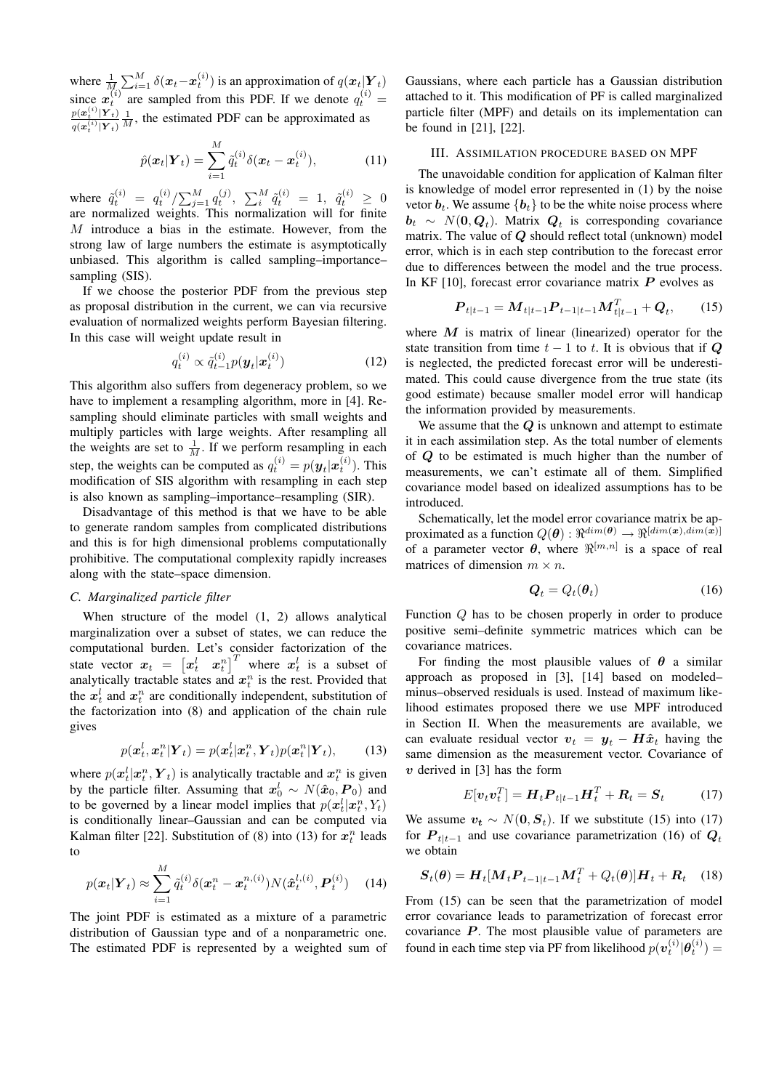where  $\frac{1}{M} \sum_{i=1}^{M} \delta(x_t - x_t^{(i)})$  is an approximation of  $q(x_t | Y_t)$ since  $x_t^{(i)}$  are sampled from this PDF. If we denote  $q_t^{(i)}$  =  $p(\boldsymbol{x}_t^{(i)}|\boldsymbol{Y}_t)$  $q(\boldsymbol{x}_t^{(i)}|\boldsymbol{Y}_t)$  $\frac{1}{M}$ , the estimated PDF can be approximated as

$$
\hat{p}(\boldsymbol{x}_t|\boldsymbol{Y}_t) = \sum_{i=1}^M \tilde{q}_t^{(i)} \delta(\boldsymbol{x}_t - \boldsymbol{x}_t^{(i)}), \tag{11}
$$

where  $\tilde{q}_t^{(i)} = q_t^{(i)} / \sum_{j=1}^M q_t^{(j)}, \sum_i^M \tilde{q}_t^{(i)} = 1, \tilde{q}_t^{(i)} \ge 0$ are normalized weights. This normalization will for finite M introduce a bias in the estimate. However, from the strong law of large numbers the estimate is asymptotically unbiased. This algorithm is called sampling–importance– sampling (SIS).

If we choose the posterior PDF from the previous step as proposal distribution in the current, we can via recursive evaluation of normalized weights perform Bayesian filtering. In this case will weight update result in

$$
q_t^{(i)} \propto \tilde{q}_{t-1}^{(i)} p(\mathbf{y}_t | \mathbf{x}_t^{(i)})
$$
 (12)

This algorithm also suffers from degeneracy problem, so we have to implement a resampling algorithm, more in [4]. Resampling should eliminate particles with small weights and multiply particles with large weights. After resampling all the weights are set to  $\frac{1}{M}$ . If we perform resampling in each step, the weights can be computed as  $q_t^{(i)} = p(\boldsymbol{y}_t|\boldsymbol{x}_t^{(i)})$ . This modification of SIS algorithm with resampling in each step is also known as sampling–importance–resampling (SIR).

Disadvantage of this method is that we have to be able to generate random samples from complicated distributions and this is for high dimensional problems computationally prohibitive. The computational complexity rapidly increases along with the state–space dimension.

#### *C. Marginalized particle filter*

When structure of the model (1, 2) allows analytical marginalization over a subset of states, we can reduce the computational burden. Let's consider factorization of the state vector  $x_t = \begin{bmatrix} x_t^l & x_t^n \end{bmatrix}^T$  where  $x_t^l$  is a subset of analytically tractable states and  $x_i^n$  is the rest. Provided that the  $x_t^l$  and  $x_t^n$  are conditionally independent, substitution of the factorization into (8) and application of the chain rule gives

$$
p(\boldsymbol{x}_t^l, \boldsymbol{x}_t^n | \boldsymbol{Y}_t) = p(\boldsymbol{x}_t^l | \boldsymbol{x}_t^n, \boldsymbol{Y}_t) p(\boldsymbol{x}_t^n | \boldsymbol{Y}_t),
$$
 (13)

where  $p(\mathbf{x}_t^l | \mathbf{x}_t^n, \mathbf{Y}_t)$  is analytically tractable and  $\mathbf{x}_t^n$  is given by the particle filter. Assuming that  $x_0^l \sim N(\hat{x}_0, P_0)$  and to be governed by a linear model implies that  $p(\mathbf{x}_t^l | \mathbf{x}_t^n, Y_t)$ is conditionally linear–Gaussian and can be computed via Kalman filter [22]. Substitution of (8) into (13) for  $x_i^n$  leads to

$$
p(\mathbf{x}_t|\mathbf{Y}_t) \approx \sum_{i=1}^M \tilde{q}_t^{(i)} \delta(\mathbf{x}_t^n - \mathbf{x}_t^{n,(i)}) N(\hat{\mathbf{x}}_t^{l,(i)}, \mathbf{P}_t^{(i)}) \quad (14)
$$

The joint PDF is estimated as a mixture of a parametric distribution of Gaussian type and of a nonparametric one. The estimated PDF is represented by a weighted sum of

Gaussians, where each particle has a Gaussian distribution attached to it. This modification of PF is called marginalized particle filter (MPF) and details on its implementation can be found in [21], [22].

# III. ASSIMILATION PROCEDURE BASED ON MPF

The unavoidable condition for application of Kalman filter is knowledge of model error represented in (1) by the noise vetor  $b_t$ . We assume  ${b_t}$  to be the white noise process where  $\mathbf{b}_t \sim N(\mathbf{0}, \mathbf{Q}_t)$ . Matrix  $\mathbf{Q}_t$  is corresponding covariance matrix. The value of  $Q$  should reflect total (unknown) model error, which is in each step contribution to the forecast error due to differences between the model and the true process. In KF  $[10]$ , forecast error covariance matrix  $P$  evolves as

$$
\boldsymbol{P}_{t|t-1} = \boldsymbol{M}_{t|t-1} \boldsymbol{P}_{t-1|t-1} \boldsymbol{M}_{t|t-1}^T + \boldsymbol{Q}_t, \qquad (15)
$$

where  $M$  is matrix of linear (linearized) operator for the state transition from time  $t - 1$  to t. It is obvious that if Q is neglected, the predicted forecast error will be underestimated. This could cause divergence from the true state (its good estimate) because smaller model error will handicap the information provided by measurements.

We assume that the  $Q$  is unknown and attempt to estimate it in each assimilation step. As the total number of elements of Q to be estimated is much higher than the number of measurements, we can't estimate all of them. Simplified covariance model based on idealized assumptions has to be introduced.

Schematically, let the model error covariance matrix be approximated as a function  $Q(\boldsymbol{\theta})$  :  $\Re^{dim(\boldsymbol{\theta})} \to \Re^{[dim(\boldsymbol{x}),dim(\boldsymbol{x})]}$ of a parameter vector  $\theta$ , where  $\Re^{[m,n]}$  is a space of real matrices of dimension  $m \times n$ .

$$
\boldsymbol{Q}_t = Q_t(\boldsymbol{\theta}_t) \tag{16}
$$

Function Q has to be chosen properly in order to produce positive semi–definite symmetric matrices which can be covariance matrices.

For finding the most plausible values of  $\theta$  a similar approach as proposed in [3], [14] based on modeled– minus–observed residuals is used. Instead of maximum likelihood estimates proposed there we use MPF introduced in Section II. When the measurements are available, we can evaluate residual vector  $v_t = y_t - H\hat{x}_t$  having the same dimension as the measurement vector. Covariance of  $v$  derived in [3] has the form

$$
E[\boldsymbol{v}_t \boldsymbol{v}_t^T] = \boldsymbol{H}_t \boldsymbol{P}_{t|t-1} \boldsymbol{H}_t^T + \boldsymbol{R}_t = \boldsymbol{S}_t \tag{17}
$$

We assume  $v_t \sim N(0, S_t)$ . If we substitute (15) into (17) for  $P_{t|t-1}$  and use covariance parametrization (16) of  $Q_t$ we obtain

$$
\boldsymbol{S}_t(\boldsymbol{\theta}) = \boldsymbol{H}_t[\boldsymbol{M}_t \boldsymbol{P}_{t-1|t-1} \boldsymbol{M}_t^T + Q_t(\boldsymbol{\theta})] \boldsymbol{H}_t + \boldsymbol{R}_t \quad (18)
$$

From (15) can be seen that the parametrization of model error covariance leads to parametrization of forecast error covariance  $P$ . The most plausible value of parameters are found in each time step via PF from likelihood  $p(\boldsymbol{v}_t^{(i)}|\boldsymbol{\theta}_t^{(i)}) =$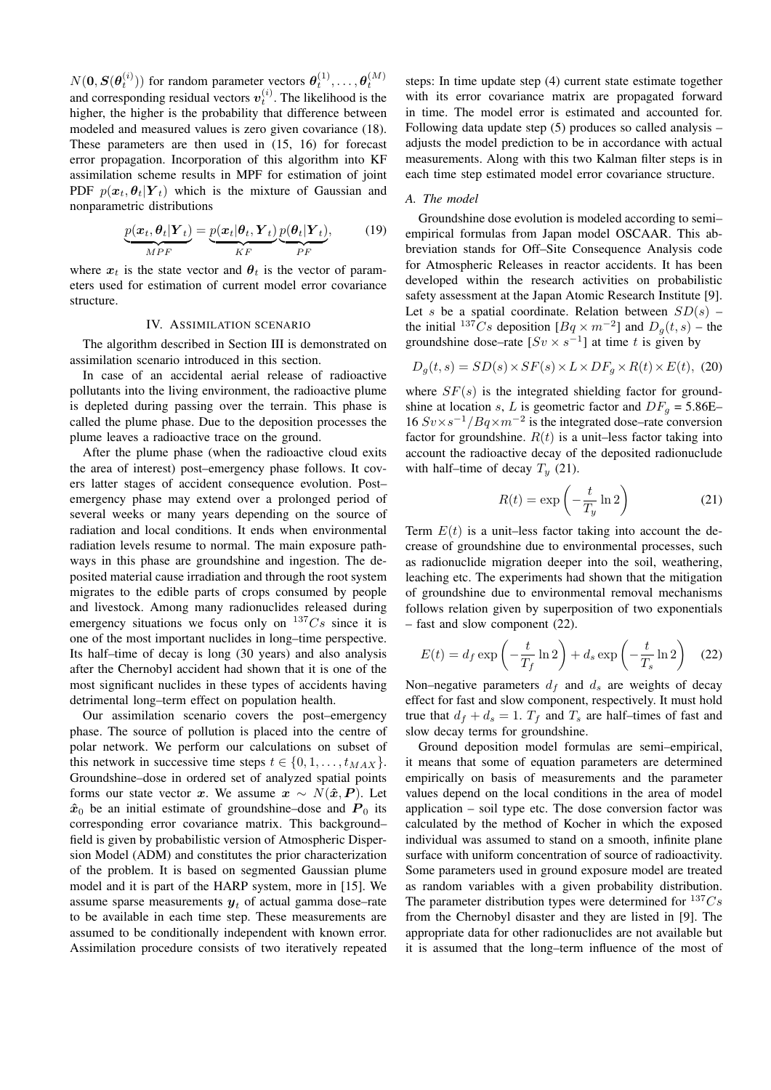$N(\mathbf{0}, \mathbf{S}(\boldsymbol{\theta}_{t}^{(i)}))$  for random parameter vectors  $\boldsymbol{\theta}_{t}^{(1)}, \ldots, \boldsymbol{\theta}_{t}^{(M)}$ and corresponding residual vectors  $v_t^{(i)}$ . The likelihood is the higher, the higher is the probability that difference between modeled and measured values is zero given covariance (18). These parameters are then used in (15, 16) for forecast error propagation. Incorporation of this algorithm into KF assimilation scheme results in MPF for estimation of joint PDF  $p(x_t, \theta_t | Y_t)$  which is the mixture of Gaussian and nonparametric distributions

$$
\underbrace{p(\boldsymbol{x}_t, \boldsymbol{\theta}_t | \boldsymbol{Y}_t)}_{MPF} = \underbrace{p(\boldsymbol{x}_t | \boldsymbol{\theta}_t, \boldsymbol{Y}_t)}_{KF} \underbrace{p(\boldsymbol{\theta}_t | \boldsymbol{Y}_t)}_{PF},
$$
(19)

where  $x_t$  is the state vector and  $\theta_t$  is the vector of parameters used for estimation of current model error covariance structure.

#### IV. ASSIMILATION SCENARIO

The algorithm described in Section III is demonstrated on assimilation scenario introduced in this section.

In case of an accidental aerial release of radioactive pollutants into the living environment, the radioactive plume is depleted during passing over the terrain. This phase is called the plume phase. Due to the deposition processes the plume leaves a radioactive trace on the ground.

After the plume phase (when the radioactive cloud exits the area of interest) post–emergency phase follows. It covers latter stages of accident consequence evolution. Post– emergency phase may extend over a prolonged period of several weeks or many years depending on the source of radiation and local conditions. It ends when environmental radiation levels resume to normal. The main exposure pathways in this phase are groundshine and ingestion. The deposited material cause irradiation and through the root system migrates to the edible parts of crops consumed by people and livestock. Among many radionuclides released during emergency situations we focus only on  $137Cs$  since it is one of the most important nuclides in long–time perspective. Its half–time of decay is long (30 years) and also analysis after the Chernobyl accident had shown that it is one of the most significant nuclides in these types of accidents having detrimental long–term effect on population health.

Our assimilation scenario covers the post–emergency phase. The source of pollution is placed into the centre of polar network. We perform our calculations on subset of this network in successive time steps  $t \in \{0, 1, \ldots, t_{MAX}\}.$ Groundshine–dose in ordered set of analyzed spatial points forms our state vector x. We assume  $x \sim N(\hat{x}, P)$ . Let  $\hat{x}_0$  be an initial estimate of groundshine–dose and  $P_0$  its corresponding error covariance matrix. This background– field is given by probabilistic version of Atmospheric Dispersion Model (ADM) and constitutes the prior characterization of the problem. It is based on segmented Gaussian plume model and it is part of the HARP system, more in [15]. We assume sparse measurements  $y_t$  of actual gamma dose–rate to be available in each time step. These measurements are assumed to be conditionally independent with known error. Assimilation procedure consists of two iteratively repeated

steps: In time update step (4) current state estimate together with its error covariance matrix are propagated forward in time. The model error is estimated and accounted for. Following data update step (5) produces so called analysis – adjusts the model prediction to be in accordance with actual measurements. Along with this two Kalman filter steps is in each time step estimated model error covariance structure.

#### *A. The model*

Groundshine dose evolution is modeled according to semi– empirical formulas from Japan model OSCAAR. This abbreviation stands for Off–Site Consequence Analysis code for Atmospheric Releases in reactor accidents. It has been developed within the research activities on probabilistic safety assessment at the Japan Atomic Research Institute [9]. Let s be a spatial coordinate. Relation between  $SD(s)$  – the initial <sup>137</sup>Cs deposition [ $Bq \times m^{-2}$ ] and  $D_g(t, s)$  – the groundshine dose–rate  $[Sv \times s^{-1}]$  at time t is given by

$$
D_g(t,s) = SD(s) \times SF(s) \times L \times DF_g \times R(t) \times E(t), \tag{20}
$$

where  $SF(s)$  is the integrated shielding factor for groundshine at location s, L is geometric factor and  $DF_g = 5.86E-$ 16  $Sv \times s^{-1}/Bq \times m^{-2}$  is the integrated dose–rate conversion factor for groundshine.  $R(t)$  is a unit-less factor taking into account the radioactive decay of the deposited radionuclude with half–time of decay  $T_{\nu}$  (21).

$$
R(t) = \exp\left(-\frac{t}{T_y} \ln 2\right) \tag{21}
$$

Term  $E(t)$  is a unit–less factor taking into account the decrease of groundshine due to environmental processes, such as radionuclide migration deeper into the soil, weathering, leaching etc. The experiments had shown that the mitigation of groundshine due to environmental removal mechanisms follows relation given by superposition of two exponentials – fast and slow component (22).

$$
E(t) = d_f \exp\left(-\frac{t}{T_f} \ln 2\right) + d_s \exp\left(-\frac{t}{T_s} \ln 2\right) \quad (22)
$$

Non–negative parameters  $d_f$  and  $d_s$  are weights of decay effect for fast and slow component, respectively. It must hold true that  $d_f + d_s = 1$ .  $T_f$  and  $T_s$  are half-times of fast and slow decay terms for groundshine.

Ground deposition model formulas are semi–empirical, it means that some of equation parameters are determined empirically on basis of measurements and the parameter values depend on the local conditions in the area of model application – soil type etc. The dose conversion factor was calculated by the method of Kocher in which the exposed individual was assumed to stand on a smooth, infinite plane surface with uniform concentration of source of radioactivity. Some parameters used in ground exposure model are treated as random variables with a given probability distribution. The parameter distribution types were determined for  $137Cs$ from the Chernobyl disaster and they are listed in [9]. The appropriate data for other radionuclides are not available but it is assumed that the long–term influence of the most of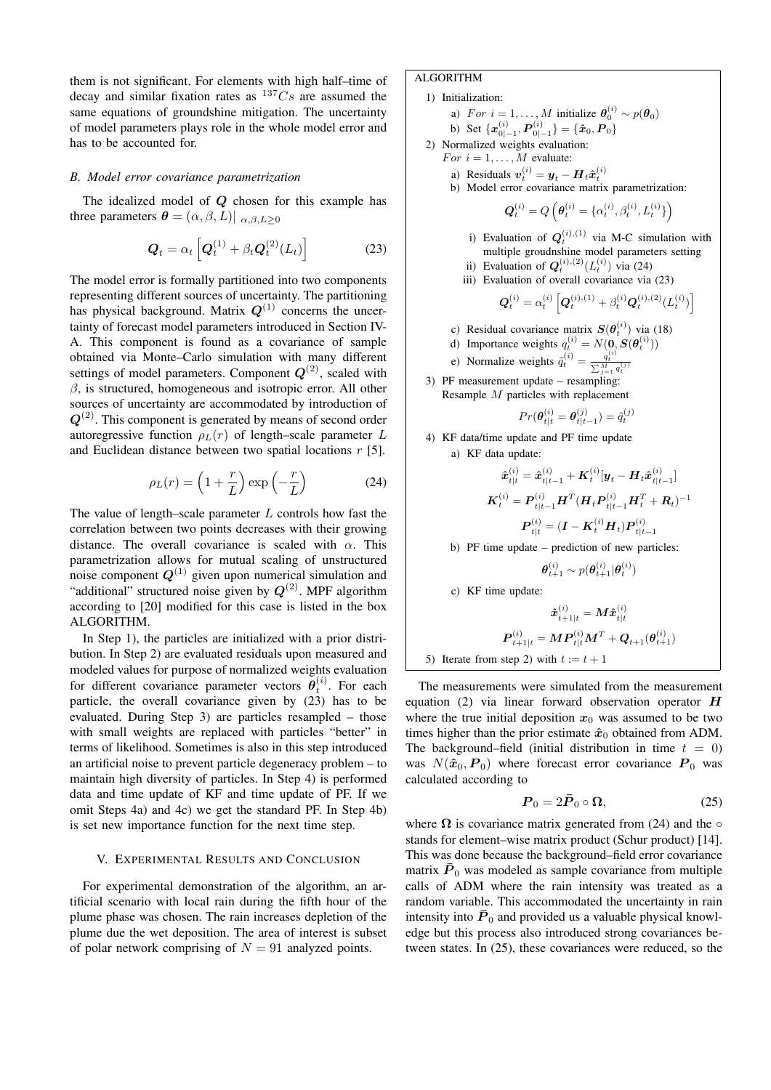them is not significant. For elements with high half–time of decay and similar fixation rates as  $137Cs$  are assumed the same equations of groundshine mitigation. The uncertainty of model parameters plays role in the whole model error and has to be accounted for.

## *B. Model error covariance parametrization*

The idealized model of  $Q$  chosen for this example has three parameters  $\boldsymbol{\theta} = (\alpha, \beta, L)|_{\alpha, \beta, L > 0}$ 

$$
\boldsymbol{Q}_t = \alpha_t \left[ \boldsymbol{Q}_t^{(1)} + \beta_t \boldsymbol{Q}_t^{(2)}(L_t) \right] \tag{23}
$$

The model error is formally partitioned into two components representing different sources of uncertainty. The partitioning has physical background. Matrix  $Q^{(1)}$  concerns the uncertainty of forecast model parameters introduced in Section IV-A. This component is found as a covariance of sample obtained via Monte–Carlo simulation with many different settings of model parameters. Component  $Q^{(2)}$ , scaled with  $\beta$ , is structured, homogeneous and isotropic error. All other sources of uncertainty are accommodated by introduction of  $Q^{(2)}$ . This component is generated by means of second order autoregressive function  $\rho_L(r)$  of length–scale parameter L and Euclidean distance between two spatial locations  $r$  [5].

$$
\rho_L(r) = \left(1 + \frac{r}{L}\right) \exp\left(-\frac{r}{L}\right) \tag{24}
$$

The value of length–scale parameter  $L$  controls how fast the correlation between two points decreases with their growing distance. The overall covariance is scaled with  $\alpha$ . This parametrization allows for mutual scaling of unstructured noise component  $Q^{(1)}$  given upon numerical simulation and "additional" structured noise given by  $Q^{(2)}$ . MPF algorithm according to [20] modified for this case is listed in the box ALGORITHM.

In Step 1), the particles are initialized with a prior distribution. In Step 2) are evaluated residuals upon measured and modeled values for purpose of normalized weights evaluation for different covariance parameter vectors  $\hat{\theta}_t^{(i)}$ . For each particle, the overall covariance given by (23) has to be evaluated. During Step 3) are particles resampled – those with small weights are replaced with particles "better" in terms of likelihood. Sometimes is also in this step introduced an artificial noise to prevent particle degeneracy problem – to maintain high diversity of particles. In Step 4) is performed data and time update of KF and time update of PF. If we omit Steps 4a) and 4c) we get the standard PF. In Step 4b) is set new importance function for the next time step.

# V. EXPERIMENTAL RESULTS AND CONCLUSION

For experimental demonstration of the algorithm, an artificial scenario with local rain during the fifth hour of the plume phase was chosen. The rain increases depletion of the plume due the wet deposition. The area of interest is subset of polar network comprising of  $N = 91$  analyzed points.

# ALGORITHM

1) Initialization:

a) For 
$$
i = 1, ..., M
$$
 initialize  $\theta_0^{(i)} \sim p(\theta_0)$ 

- b) Set  $\{\boldsymbol{x}_{0|-1}^{(i)},\boldsymbol{P}_{0|-1}^{(i)}\} = \{\hat{\boldsymbol{x}}_0,\boldsymbol{P}_0\}$
- 2) Normalized weights evaluation:
	- For  $i = 1, \ldots, M$  evaluate:
		- a) Residuals  $v_t^{(i)} = y_t H_t \hat{x}_t^{(i)}$
		- b) Model error covariance matrix parametrization:

$$
\boldsymbol{Q}_t^{(i)} = Q\left(\boldsymbol{\theta}_t^{(i)} = \{\alpha_t^{(i)}, \beta_t^{(i)}, L_t^{(i)}\}\right)
$$

- i) Evaluation of  $Q_t^{(i),(1)}$  via M-C simulation with multiple groudnshine model parameters setting
- ii) Evaluation of  $Q_t^{(i),(2)}(L_t^{(i)})$  via (24)
- iii) Evaluation of overall covariance via (23)

$$
\mathbf{Q}_t^{(i)} = \alpha_t^{(i)} \left[ \mathbf{Q}_t^{(i),(1)} + \beta_t^{(i)} \mathbf{Q}_t^{(i),(2)} (L_t^{(i)}) \right]
$$

- c) Residual covariance matrix  $S(\theta_t^{(i)})$  via (18)
- d) Importance weights  $q_t^{(i)} = N(\mathbf{0}, \mathbf{S}(\boldsymbol{\theta}_t^{(i)}))$

e) Normalize weights 
$$
\tilde{q}_t^{(i)} = \frac{q_t^{(i)}}{\sum_{j=1}^M q_t^{(j)}}
$$

3) PF measurement update – resampling: Resample M particles with replacement

$$
Pr(\boldsymbol{\theta}_{t|t}^{(i)} = \boldsymbol{\theta}_{t|t-1}^{(j)}) = \tilde{q}_t^{(j)}
$$

4) KF data/time update and PF time update a) KF data update:

$$
\begin{aligned} \hat{{\bm{x}}}_{t|t}^{(i)} &= \hat{{\bm{x}}}_{t|t-1}^{(i)} + {\bm{K}}_t^{(i)} [{\bm{y}}_t - {\bm{H}}_t \hat{{\bm{x}}}_{t|t-1}^{(i)}] \\ {\bm{K}}_t^{(i)} &= {\bm{P}}_{t|t-1}^{(i)} {\bm{H}}^T ({\bm{H}}_t {\bm{P}}_{t|t-1}^{(i)} {\bm{H}}_t^T + {\bm{R}}_t)^{-1} \\ {\bm{P}}_{t|t}^{(i)} &= ({\bm{I}} - {\bm{K}}_t^{(i)} {\bm{H}}_t) {\bm{P}}_{t|t-1}^{(i)} \end{aligned}
$$

b) PF time update – prediction of new particles:

$$
\boldsymbol{\theta}_{t+1}^{(i)} \sim p(\boldsymbol{\theta}_{t+1}^{(i)} | \boldsymbol{\theta}_{t}^{(i)})
$$

 $(i)$ 

c) KF time update:

$$
\hat{\bm{x}}_{t+1|t}^{(i)} = \bm{M}\hat{\bm{x}}_{t|t}^{(i)}
$$
\n
$$
\bm{P}_{t+1|t}^{(i)} = \bm{M}\bm{P}_{t|t}^{(i)}\bm{M}^{T} + \bm{Q}_{t+1}(\bm{\theta}_{t+1}^{(i)})
$$
\n5) Iterate from step 2) with  $t := t + 1$ 

The measurements were simulated from the measurement equation (2) via linear forward observation operator  $H$ where the true initial deposition  $x_0$  was assumed to be two times higher than the prior estimate  $\hat{x}_0$  obtained from ADM. The background–field (initial distribution in time  $t = 0$ ) was  $N(\hat{x}_0, P_0)$  where forecast error covariance  $P_0$  was calculated according to

$$
\boldsymbol{P}_0 = 2\bar{\boldsymbol{P}}_0 \circ \boldsymbol{\Omega},\tag{25}
$$

where  $\Omega$  is covariance matrix generated from (24) and the  $\circ$ stands for element–wise matrix product (Schur product) [14]. This was done because the background–field error covariance matrix  $\bar{P}_0$  was modeled as sample covariance from multiple calls of ADM where the rain intensity was treated as a random variable. This accommodated the uncertainty in rain intensity into  $\bar{P}_0$  and provided us a valuable physical knowledge but this process also introduced strong covariances between states. In (25), these covariances were reduced, so the